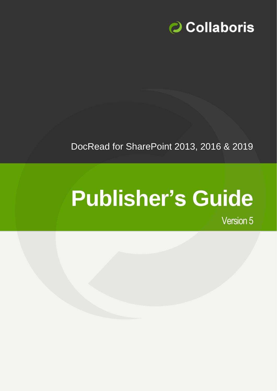

DocRead for SharePoint 2013, 2016 & 2019

# **Publisher's Guide**

Version 5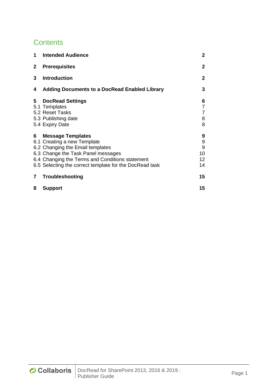# **Contents**

| 1            | <b>Intended Audience</b>                                                                                                                                                                                                                        | $\mathbf{2}$                       |
|--------------|-------------------------------------------------------------------------------------------------------------------------------------------------------------------------------------------------------------------------------------------------|------------------------------------|
| $\mathbf{2}$ | <b>Prerequisites</b>                                                                                                                                                                                                                            | 2                                  |
| 3            | <b>Introduction</b>                                                                                                                                                                                                                             | $\mathbf{2}$                       |
| 4            | <b>Adding Documents to a DocRead Enabled Library</b>                                                                                                                                                                                            | 3                                  |
| 5            | <b>DocRead Settings</b><br>5.1 Templates<br>5.2 Reset Tasks<br>5.3 Publishing date<br>5.4 Expiry Date                                                                                                                                           | 6<br>7<br>$\overline{7}$<br>8<br>8 |
| 6            | <b>Message Templates</b><br>6.1 Creating a new Template<br>6.2 Changing the Email templates<br>6.3 Change the Task Panel messages<br>6.4 Changing the Terms and Conditions statement<br>6.5 Selecting the correct template for the DocRead task | 9<br>9<br>9<br>10<br>12<br>14      |
| 7            | <b>Troubleshooting</b>                                                                                                                                                                                                                          | 15                                 |
| 8            | <b>Support</b>                                                                                                                                                                                                                                  | 15                                 |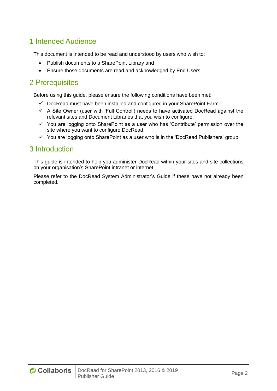## <span id="page-2-0"></span>1 Intended Audience

This document is intended to be read and understood by users who wish to:

- Publish documents to a SharePoint Library and
- Ensure those documents are read and acknowledged by End Users

## <span id="page-2-1"></span>2 Prerequisites

Before using this guide, please ensure the following conditions have been met:

- ✓ DocRead must have been installed and configured in your SharePoint Farm.
- $\checkmark$  A Site Owner (user with 'Full Control') needs to have activated DocRead against the relevant sites and Document Libraries that you wish to configure.
- $\checkmark$  You are logging onto SharePoint as a user who has 'Contribute' permission over the site where you want to configure DocRead.
- $\checkmark$  You are logging onto SharePoint as a user who is in the 'DocRead Publishers' group.

## <span id="page-2-2"></span>3 Introduction

This guide is intended to help you administer DocRead within your sites and site collections on your organisation's SharePoint intranet or internet.

Please refer to the DocRead System Administrator's Guide if these have not already been completed.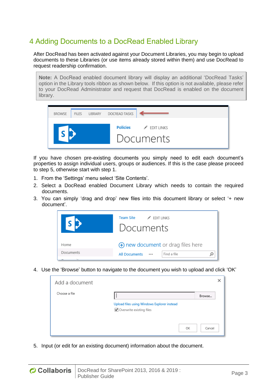# <span id="page-3-0"></span>4 Adding Documents to a DocRead Enabled Library

After DocRead has been activated against your Document Libraries, you may begin to upload documents to these Libraries (or use items already stored within them) and use DocRead to request readership confirmation.

**Note:** A DocRead enabled document library will display an additional 'DocRead Tasks' option in the Library tools ribbon as shown below. If this option is not available, please refer to your DocRead Administrator and request that DocRead is enabled on the document library.



If you have chosen pre-existing documents you simply need to edit each document's properties to assign individual users, groups or audiences. If this is the case please proceed to step 5, otherwise start with step 1.

- 1. From the 'Settings' menu select 'Site Contents'.
- 2. Select a DocRead enabled Document Library which needs to contain the required documents.
- 3. You can simply 'drag and drop' new files into this document library or select '+ new document'.



4. Use the 'Browse' button to navigate to the document you wish to upload and click 'OK'

| Add a document |                                                                         | ×      |
|----------------|-------------------------------------------------------------------------|--------|
| Choose a file  |                                                                         | Browse |
|                | Upload files using Windows Explorer instead<br>Overwrite existing files |        |
|                | ОК                                                                      | Cancel |

5. Input (or edit for an existing document) information about the document.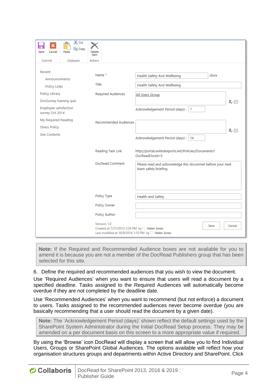| ×<br>Save<br>Cancel                       | X <sub>o</sub> Cut<br>lin Copy<br>Paste | Deletr<br>Item                                               |                                                                                    |
|-------------------------------------------|-----------------------------------------|--------------------------------------------------------------|------------------------------------------------------------------------------------|
| Commit                                    | Clipboard                               | Actions                                                      |                                                                                    |
| Recent<br>Announcements                   |                                         | Name *                                                       | .docx<br>Health Safety And Wellbeing                                               |
| Policy Links                              |                                         | Title                                                        | Health Safety And Wellbeing                                                        |
| Policy Library<br>DocSurvey training quiz |                                         | Required Audiences                                           | All Users Group<br>る国                                                              |
| Employee satisfaction<br>survey Oct 2014  |                                         |                                                              | Acknowledgement Period (days) : 7                                                  |
| My Required Reading                       |                                         | Recommended Audiences                                        |                                                                                    |
| <b>Stress Policy</b>                      |                                         |                                                              | み目                                                                                 |
| Site Contents                             |                                         |                                                              | Acknowledgement Period (days) :   14                                               |
|                                           |                                         | Reading Task Link                                            | http://portal.unitedexports.net/Policies/Documents?<br>$DocReadDocId = 5$          |
|                                           |                                         | DocRead Comment                                              | Please read and acknowledge this documnet before your next<br>team safety briefing |
|                                           |                                         |                                                              |                                                                                    |
|                                           |                                         | Policy Type                                                  | Health and Safety                                                                  |
|                                           |                                         | Policy Owner                                                 |                                                                                    |
|                                           |                                         | Policy Author                                                |                                                                                    |
|                                           |                                         | Version: 1.0<br>Created at 7/21/2013 2:26 PM by□ Helen Jones | Save<br>Cancel<br>Last modified at 10/9/2014 1:10 PM by □ Helen Jones              |

**Note:** If the Required and Recommended Audience boxes are not available for you to amend it is because you are not a member of the DocRead Publishers group that has been selected for this site.

6. Define the required and recommended audiences that you wish to view the document.

Use 'Required Audiences' when you want to ensure that users will read a document by a specified deadline. Tasks assigned to the Required Audiences will automatically become overdue if they are not completed by the deadline date.

Use 'Recommended Audiences' when you want to recommend (but not enforce) a document to users. Tasks assigned to the recommended audiences never become overdue (you are basically recommending that a user should read the document by a given date).

**Note:** The 'Acknowledgement Period (days)' shown reflect the default settings used by the SharePoint System Administrator during the Initial DocRead Setup process. They may be amended on a per document basis on this screen to a more appropriate value if required.

By using the 'Browse' icon DocRead will display a screen that will allow you to find Individual Users, Groups or SharePoint Global Audiences. The options available will reflect how your organisation structures groups and departments within Active Directory and SharePoint. Click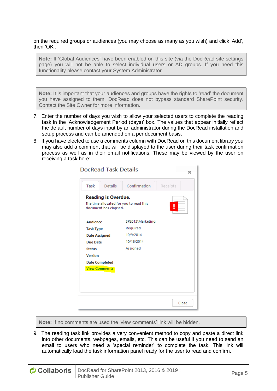on the required groups or audiences (you may choose as many as you wish) and click 'Add', then 'OK'.

**Note:** If 'Global Audiences' have been enabled on this site (via the DocRead site settings page) you will not be able to select individual users or AD groups. If you need this functionality please contact your System Administrator.

**Note:** It is important that your audiences and groups have the rights to 'read' the document you have assigned to them. DocRead does not bypass standard SharePoint security. Contact the Site Owner for more information.

- 7. Enter the number of days you wish to allow your selected users to complete the reading task in the 'Acknowledgement Period (days)' box. The values that appear initially reflect the default number of days input by an administrator during the DocRead installation and setup process and can be amended on a per document basis.
- 8. If you have elected to use a comments column with DocRead on this document library you may also add a comment that will be displayed to the user during their task confirmation process as well as in their email notifications. These may be viewed by the user on receiving a task here:

| <b>DocRead Task Details</b>                                                                    |                  | ×        |
|------------------------------------------------------------------------------------------------|------------------|----------|
| Details<br>Task                                                                                | Confirmation     | Receipts |
| <b>Reading is Overdue.</b><br>The time allocated for you to read this<br>document has elapsed. |                  |          |
| <b>Audience</b>                                                                                | SP2013\Marketing |          |
| <b>Task Type</b>                                                                               | Required         |          |
| <b>Date Assigned</b>                                                                           | 10/9/2014        |          |
| <b>Due Date</b>                                                                                | 10/16/2014       |          |
| <b>Status</b>                                                                                  | Assigned         |          |
| <b>Version</b>                                                                                 |                  |          |
| <b>Date Completed</b>                                                                          |                  |          |
| <b>View Comments</b>                                                                           |                  |          |
|                                                                                                |                  |          |
|                                                                                                |                  |          |
|                                                                                                |                  |          |
|                                                                                                |                  | Close    |

**Note:** If no comments are used the 'view comments' link will be hidden.

9. The reading task link provides a very convenient method to copy and paste a direct link into other documents, webpages, emails, etc. This can be useful if you need to send an email to users who need a 'special reminder' to complete the task. This link will automatically load the task information panel ready for the user to read and confirm.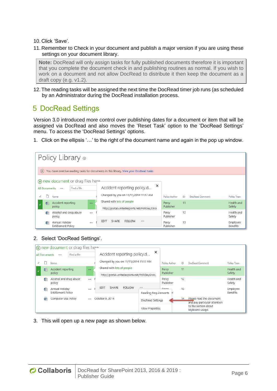10. Click 'Save'.

11. Remember to Check in your document and publish a major version if you are using these settings on your document library.

**Note:** DocRead will only assign tasks for fully published documents therefore it is important that you complete the document check in and publishing routines as normal. If you wish to work on a document and not allow DocRead to distribute it then keep the document as a draft copy (e.g. v1.2).

12. The reading tasks will be assigned the next time the DocRead timer job runs (as scheduled by an Administrator during the DocRead installation process.

# <span id="page-6-0"></span>5 DocRead Settings

Version 3.0 introduced more control over publishing dates for a document or item that will be assigned via DocRead and also moves the 'Reset Task' option to the 'DocRead Settings' menu. To access the 'DocRead Settings' options.

1. Click on the ellipsis '…' to the right of the document name and again in the pop up window.

| Policy Library o                                             |                                                                                       |                    |                       |                      |
|--------------------------------------------------------------|---------------------------------------------------------------------------------------|--------------------|-----------------------|----------------------|
| $(\times)$                                                   | You have overdue reading tasks for documents in this library. View your DocRead tasks |                    |                       |                      |
| $\left( \widehat{+} \right)$ new document or drag files here |                                                                                       |                    |                       |                      |
| Find a file<br>All Documents<br>                             | ×<br>Accident reporting policy.d                                                      |                    |                       |                      |
| Name                                                         | Changed by you on 11/11/2014 11:17 AM                                                 | Policy Author      | ID<br>DocRead Comment | Policy Type          |
| 鳕<br>Accident reporting<br>$\sim$<br>policy                  | Shared with lots of people<br>http://portal.unitedexports.net/Policies/Doct           | Percy<br>Publisher | 11                    | Health and<br>Safety |
| 垂<br>Alcohol and drug abuse<br><br>policy                    |                                                                                       | Percy<br>Publisher | 12                    | Health and<br>Safety |
| 鳕<br>Annual Holiday<br>$-0.00$<br>Entitlement Policy         | SHARE<br><b>EDIT</b><br><b>FOLLOW</b><br>                                             | Percy<br>Publisher | 13                    | Employee<br>Benefits |

2. Select 'DocRead Settings'.

|   |                      | (+) new document or drag files here- |          |                                                                             |               |                             |                    |    |                                                          |                      |
|---|----------------------|--------------------------------------|----------|-----------------------------------------------------------------------------|---------------|-----------------------------|--------------------|----|----------------------------------------------------------|----------------------|
|   | <b>All Documents</b> | Find a file<br>                      |          | Accident reporting policy.d                                                 |               | $\times$                    |                    |    |                                                          |                      |
| ✓ |                      | Name                                 |          | Changed by you on 11/11/2014 11:17 AM                                       |               |                             | Policy Author      | ID | DocRead Comment                                          | Policy Type          |
|   | 帽                    | Accident reporting<br>policy         | $\cdots$ | Shared with lots of people<br>http://portal.unitedexports.net/Policies/Docl |               |                             | Percy<br>Publisher | 11 |                                                          | Health and<br>Safety |
|   | 帽                    | Alcohol and drug abuse<br>policy     |          |                                                                             |               |                             | Percy<br>Publisher | 12 |                                                          | Health and<br>Safety |
|   | wË                   | Annual Holiday<br>Entitlement Policy | $\cdots$ | SHARE<br><b>EDIT</b>                                                        | <b>FOLLOW</b> | <br>Reading Requirements In | <b>Dormu</b>       | 13 |                                                          | Employee<br>Benefits |
|   | ñИ                   | Computer Use Policy                  |          | October 9, 2014                                                             |               | DocRead Settings            |                    | 14 | Please read the document<br>and pay particular attention |                      |
|   |                      |                                      |          |                                                                             |               | <b>View Properties</b>      |                    |    | to the section about<br>keyboard usage.                  |                      |

3. This will open up a new page as shown below.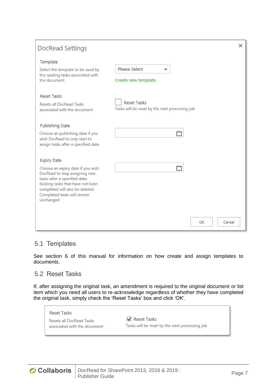| DocRead Settings                                                                                                                                                                                                                       |                                                               | × |
|----------------------------------------------------------------------------------------------------------------------------------------------------------------------------------------------------------------------------------------|---------------------------------------------------------------|---|
| Template<br>Select the template to be used by<br>the reading tasks associated with<br>the document                                                                                                                                     | Please Select<br>▼<br>Create new template                     |   |
| Reset Tasks<br>Resets all DocRead Tasks<br>associated with the document                                                                                                                                                                | Reset Tasks<br>Tasks will be reset by the next processing job |   |
| Publishing Date<br>Choose an publishing date if you<br>wish DocRead to only start to<br>assign tasks after a specified date.                                                                                                           | ۳                                                             |   |
| Expiry Date<br>Choose an expiry date if you wish<br>DocRead to stop assigning new<br>tasks after a specified date.<br>Existing tasks that have not been<br>completed will also be deleted.<br>Completed tasks will remain<br>unchanged |                                                               |   |
|                                                                                                                                                                                                                                        | ОΚ<br>Cancel                                                  |   |

## <span id="page-7-0"></span>5.1 Templates

See section 6 of this manual for information on how create and assign templates to documents.

## <span id="page-7-1"></span>5.2 Reset Tasks

If, after assigning the original task, an amendment is required to the original document or list item which you need all users to re-acknowledge regardless of whether they have completed the original task, simply check the 'Reset Tasks' box and click 'OK'.

#### Reset Tasks

Resets all DocRead Tasks associated with the document

Reset Tasks Tasks will be reset by the next processing job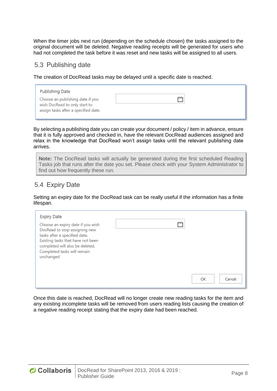When the timer jobs next run (depending on the schedule chosen) the tasks assigned to the original document will be deleted. Negative reading receipts will be generated for users who had not completed the task before it was reset and new tasks will be assigned to all users.

### <span id="page-8-0"></span>5.3 Publishing date

The creation of DocRead tasks may be delayed until a specific date is reached.

| Publishing Date<br>Choose an publishing date if you                   |  |
|-----------------------------------------------------------------------|--|
| wish DocRead to only start to<br>assign tasks after a specified date. |  |

By selecting a publishing date you can create your document / policy / item in advance, ensure that it is fully approved and checked in, have the relevant DocRead audiences assigned and relax in the knowledge that DocRead won't assign tasks until the relevant publishing date arrives.

**Note:** The DocRead tasks will actually be generated during the first scheduled Reading Tasks job that runs after the date you set. Please check with your System Administrator to find out how frequently these run.

## <span id="page-8-1"></span>5.4 Expiry Date

Setting an expiry date for the DocRead task can be really useful if the information has a finite lifespan.

| Expiry Date<br>Choose an expiry date if you wish<br>DocRead to stop assigning new<br>tasks after a specified date.<br>Existing tasks that have not been<br>completed will also be deleted.<br>Completed tasks will remain<br>unchanged |              |
|----------------------------------------------------------------------------------------------------------------------------------------------------------------------------------------------------------------------------------------|--------------|
|                                                                                                                                                                                                                                        | ОΚ<br>Cancel |

Once this date is reached, DocRead will no longer create new reading tasks for the item and any existing incomplete tasks will be removed from users reading lists causing the creation of a negative reading receipt stating that the expiry date had been reached.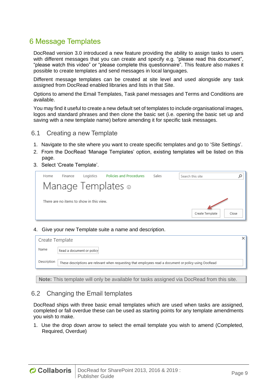## <span id="page-9-0"></span>6 Message Templates

DocRead version 3.0 introduced a new feature providing the ability to assign tasks to users with different messages that you can create and specify e.g. "please read this document", "please watch this video" or "please complete this questionnaire". This feature also makes it possible to create templates and send messages in local languages.

Different message templates can be created at site level and used alongside any task assigned from DocRead enabled libraries and lists in that Site.

Options to amend the Email Templates, Task panel messages and Terms and Conditions are available.

You may find it useful to create a new default set of templates to include organisational images, logos and standard phrases and then clone the basic set (i.e. opening the basic set up and saving with a new template name) before amending it for specific task messages.

- <span id="page-9-1"></span>6.1 Creating a new Template
- 1. Navigate to the site where you want to create specific templates and go to 'Site Settings'.
- 2. From the DocRead 'Manage Templates' option, existing templates will be listed on this page.
- 3. Select 'Create Template'.



4. Give your new Template suite a name and description.

| Create Template |                                                                                                        |  |
|-----------------|--------------------------------------------------------------------------------------------------------|--|
| Name            | Read a document or policy                                                                              |  |
| Description     | These descriptions are relevant when requesting that employees read a document or policy using DocRead |  |

**Note:** This template will only be available for tasks assigned via DocRead from this site.

#### <span id="page-9-2"></span>6.2 Changing the Email templates

DocRead ships with three basic email templates which are used when tasks are assigned, completed or fall overdue these can be used as starting points for any template amendments you wish to make.

1. Use the drop down arrow to select the email template you wish to amend (Completed, Required, Overdue)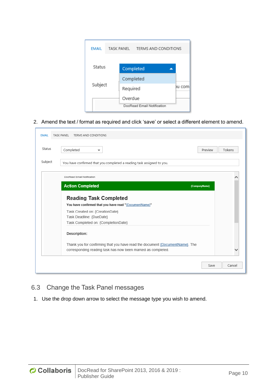| <b>EMAIL</b> | TASK PANEL | TERMS AND CONDITIONS       |        |
|--------------|------------|----------------------------|--------|
| Status       | Completed  |                            |        |
|              | Completed  |                            |        |
| Subject      | Required   |                            | Ju com |
|              | Overdue    |                            |        |
|              |            | DocRead Email Notification |        |

#### 2. Amend the text / format as required and click 'save' or select a different element to amend.

| Status  | Completed<br>Preview<br>▼                                                    | Tokens |
|---------|------------------------------------------------------------------------------|--------|
| Subject | You have confirmed that you completed a reading task assigned to you.        |        |
|         | DocRead Email Notification                                                   |        |
|         | <b>Action Completed</b><br>{CompanyName}                                     |        |
|         |                                                                              |        |
|         | <b>Reading Task Completed</b>                                                |        |
|         | You have confirmed that you have read "{DocumentName}"                       |        |
|         | Task Created on: {CreationDate}                                              |        |
|         | Task Deadline: {DueDate}                                                     |        |
|         | Task Completed on: {CompletionDate}                                          |        |
|         | Description:                                                                 |        |
|         | Thank you for confirming that you have read the document {DocumentName}. The |        |

## <span id="page-10-0"></span>6.3 Change the Task Panel messages

1. Use the drop down arrow to select the message type you wish to amend.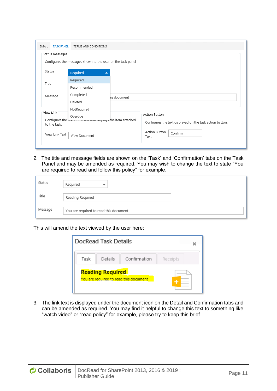| <b>TASK PANEL</b><br>EMAIL | TERMS AND CONDITIONS                                                                                                                                                  |
|----------------------------|-----------------------------------------------------------------------------------------------------------------------------------------------------------------------|
| Status messages            | Configures the messages shown to the user on the task panel                                                                                                           |
| Status                     | Required<br>┻                                                                                                                                                         |
| Title                      | Required<br>Recommended                                                                                                                                               |
| Message                    | Completed<br>his document<br>Deleted                                                                                                                                  |
| View Link<br>to the task.  | NotRequired<br>Action Button<br>Overdue<br>Configures the text or the mix that uisplays the item attached<br>Configures the text displayed on the task action button. |
| View Link Text             | Action Button<br>Confirm<br>View Document<br>Text                                                                                                                     |

2. The title and message fields are shown on the 'Task' and 'Confirmation' tabs on the Task Panel and may be amended as required. You may wish to change the text to state "You are required to read and follow this policy" for example.

| Status  | Reauired<br>▼                          |
|---------|----------------------------------------|
| Title   | Reading Required                       |
| Message | You are required to read this document |

This will amend the text viewed by the user here:



3. The link text is displayed under the document icon on the Detail and Confirmation tabs and can be amended as required. You may find it helpful to change this text to something like "watch video" or "read policy" for example, please try to keep this brief.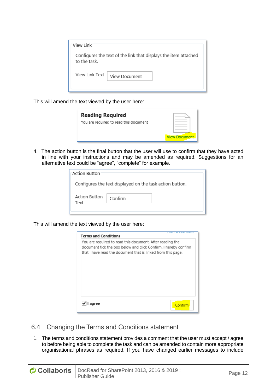| View Link                                                                       |  |
|---------------------------------------------------------------------------------|--|
| Configures the text of the link that displays the item attached<br>to the task. |  |
| View Link Text<br>View Document                                                 |  |

This will amend the text viewed by the user here:



4. The action button is the final button that the user will use to confirm that they have acted in line with your instructions and may be amended as required. Suggestions for an alternative text could be "agree", "complete" for example.

| Action Button                                            |         |  |  |  |  |
|----------------------------------------------------------|---------|--|--|--|--|
| Configures the text displayed on the task action button. |         |  |  |  |  |
| Action Button<br>Text                                    | Confirm |  |  |  |  |

This will amend the text viewed by the user here:

| <b>Terms and Conditions</b>                                                                                                                                                                  |         |
|----------------------------------------------------------------------------------------------------------------------------------------------------------------------------------------------|---------|
| You are required to read this document. After reading the<br>document tick the box below and click Confirm. I hereby confirm<br>that I have read the document that is linked from this page. |         |
| agree                                                                                                                                                                                        | Confirm |

- <span id="page-12-0"></span>6.4 Changing the Terms and Conditions statement
- 1. The terms and conditions statement provides a comment that the user must accept / agree to before being able to complete the task and can be amended to contain more appropriate organisational phrases as required. If you have changed earlier messages to include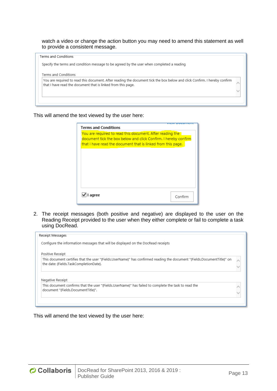#### watch a video or change the action button you may need to amend this statement as well to provide a consistent message.

#### Terms and Conditions

Specify the terms and condition message to be agreed by the user when completed a reading

#### Terms and Conditions

You are required to read this document. After reading the document tick the box below and click Confirm. I hereby confirm that I have read the document that is linked from this page.

#### This will amend the text viewed by the user here:

| <b>Terms and Conditions</b>                                     |         |
|-----------------------------------------------------------------|---------|
|                                                                 |         |
| You are required to read this document. After reading the       |         |
| document tick the box below and click Confirm. I hereby confirm |         |
|                                                                 |         |
| that I have read the document that is linked from this page.    |         |
|                                                                 |         |
|                                                                 |         |
|                                                                 |         |
|                                                                 |         |
|                                                                 |         |
|                                                                 |         |
|                                                                 |         |
|                                                                 |         |
|                                                                 |         |
|                                                                 |         |
|                                                                 |         |
|                                                                 |         |
|                                                                 |         |
| agree                                                           | Confirm |
|                                                                 |         |
|                                                                 |         |

2. The receipt messages (both positive and negative) are displayed to the user on the Reading Receipt provided to the user when they either complete or fail to complete a task using DocRead.

| Receipt Messages                                                                                                         |  |
|--------------------------------------------------------------------------------------------------------------------------|--|
| Configure the information messages that will be displayed on the DocRead receipts                                        |  |
| Positive Receipt                                                                                                         |  |
| This document certifies that the user "{Fields.UserName}" has confirmed reading the document "{Fields.DocumentTitle}" on |  |
| the date: {Fields.TaskCompletionDate}.                                                                                   |  |
|                                                                                                                          |  |
|                                                                                                                          |  |
| Negative Receipt                                                                                                         |  |
| This document confirms that the user "{Fields.UserName}" has failed to complete the task to read the                     |  |
| document "{Fields.DocumentTitle}".                                                                                       |  |
|                                                                                                                          |  |
|                                                                                                                          |  |
|                                                                                                                          |  |

#### This will amend the text viewed by the user here: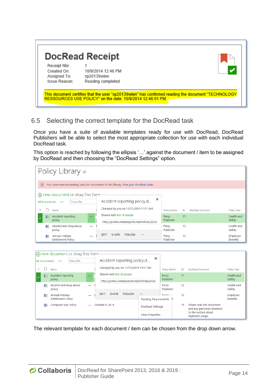|                             | <b>DocRead Receipt</b> |  |
|-----------------------------|------------------------|--|
| Receipt Nbr:<br>Created On: | 10/9/2014 12:46 PM     |  |
| Assigned To:                | sp2013\helen           |  |
| Issue Reason:               | Reading completed      |  |

## <span id="page-14-0"></span>6.5 Selecting the correct template for the DocRead task

Once you have a suite of available templates ready for use with DocRead, DocRead Publishers will be able to select the most appropriate collection for use with each individual DocRead task.

This option is reached by following the ellipsis '…' against the document / item to be assigned by DocRead and then choosing the "DocRead Settings" option.

|                      | Policy Library o                                               |          |                                                                                       |                          |                    |    |                                                          |                             |
|----------------------|----------------------------------------------------------------|----------|---------------------------------------------------------------------------------------|--------------------------|--------------------|----|----------------------------------------------------------|-----------------------------|
| $(\times)$           |                                                                |          | You have overdue reading tasks for documents in this library. View your DocRead tasks |                          |                    |    |                                                          |                             |
| <b>All Documents</b> | (+) new document or drag files here<br>Find a file<br><br>Name |          | Accident reporting policy.d<br>Changed by you on 11/11/2014 11:17 AM                  | ×                        | Policy Author      | ID | DocRead Comment                                          | Policy Type                 |
| 配                    | Accident reporting<br>policy                                   | $\cdots$ | Shared with lots of people<br>http://portal.unitedexports.net/Policies/Docl           |                          | Percy<br>Publisher | 11 |                                                          | Health and<br>Safety        |
| 嶦                    | Alcohol and drug abuse<br>policy                               |          |                                                                                       |                          | Percy<br>Publisher | 12 |                                                          | Health and<br>Safety        |
| dÈ                   | Annual Holiday<br><b>Entitlement Policy</b>                    |          | SHARE<br><b>EDIT</b><br><b>FOLLOW</b>                                                 |                          | Percy<br>Publisher | 13 |                                                          | Employee<br><b>Benefits</b> |
|                      |                                                                |          |                                                                                       |                          |                    |    |                                                          |                             |
|                      | new document or drag files here                                |          |                                                                                       |                          |                    |    |                                                          |                             |
| <b>All Documents</b> | Find a file<br>                                                |          | Accident reporting policy.d                                                           | ×                        |                    |    |                                                          |                             |
| ۱٦                   | Name                                                           |          | Changed by you on 11/11/2014 11:17 AM                                                 |                          | Policy Author      | ID | DocRead Comment                                          | Policy Type                 |
| 看                    | Accident reporting<br>policy                                   |          | Shared with lots of people<br>http://portal.unitedexports.net/Policies/Docl           |                          | Percy<br>Publisher | 11 |                                                          | Health and<br>Safety        |
| 嶒                    | Alcohol and drug abuse<br>policy                               |          |                                                                                       |                          | Percy<br>Publisher | 12 |                                                          | Health and<br>Safety        |
| 嶦                    | Annual Holiday<br>Entitlement Policy                           | $\cdots$ | SHARE<br><b>EDIT</b><br><b>FOLLOW</b>                                                 | <br>Reading Requirements | <b>Dorcy</b>       | 13 |                                                          | Employee<br><b>Benefits</b> |
| 耐                    | Computer Use Policy                                            | $\cdots$ | October 9, 2014                                                                       | DocRead Settings         |                    | 14 | Please read the document<br>and nou narticular attention |                             |

The relevant template for each document / item can be chosen from the drop down arrow.

View Properties

to the section about

keyboard usage.